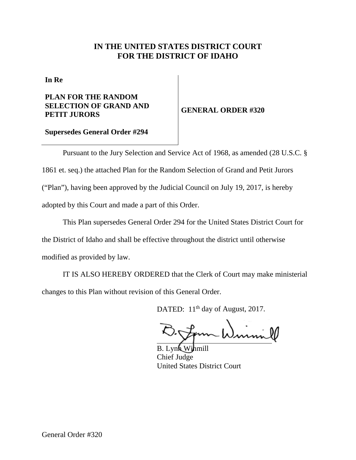### **IN THE UNITED STATES DISTRICT COURT FOR THE DISTRICT OF IDAHO**

**In Re**

#### **PLAN FOR THE RANDOM SELECTION OF GRAND AND PETIT JURORS**

**GENERAL ORDER #320** 

**Supersedes General Order #294** 

Pursuant to the Jury Selection and Service Act of 1968, as amended (28 U.S.C. § 1861 et. seq.) the attached Plan for the Random Selection of Grand and Petit Jurors ("Plan"), having been approved by the Judicial Council on July 19, 2017, is hereby adopted by this Court and made a part of this Order.

This Plan supersedes General Order 294 for the United States District Court for

the District of Idaho and shall be effective throughout the district until otherwise

modified as provided by law.

IT IS ALSO HEREBY ORDERED that the Clerk of Court may make ministerial changes to this Plan without revision of this General Order.

DATED: 11<sup>th</sup> day of August, 2017.

B. Lynk Wihmill Chief Judge United States District Court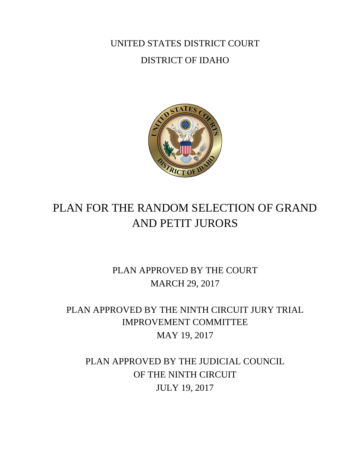UNITED STATES DISTRICT COURT DISTRICT OF IDAHO



# PLAN FOR THE RANDOM SELECTION OF GRAND AND PETIT JURORS

PLAN APPROVED BY THE COURT MARCH 29, 2017

PLAN APPROVED BY THE NINTH CIRCUIT JURY TRIAL IMPROVEMENT COMMITTEE MAY 19, 2017

PLAN APPROVED BY THE JUDICIAL COUNCIL OF THE NINTH CIRCUIT JULY 19, 2017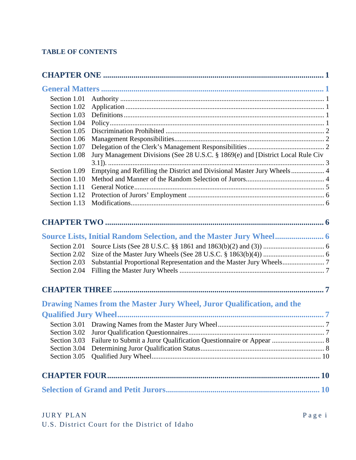### **TABLE OF CONTENTS**

| Section 1.01 |                                                                                 |  |  |  |  |
|--------------|---------------------------------------------------------------------------------|--|--|--|--|
| Section 1.02 |                                                                                 |  |  |  |  |
| Section 1.03 |                                                                                 |  |  |  |  |
| Section 1.04 |                                                                                 |  |  |  |  |
| Section 1.05 |                                                                                 |  |  |  |  |
| Section 1.06 |                                                                                 |  |  |  |  |
| Section 1.07 |                                                                                 |  |  |  |  |
| Section 1.08 | Jury Management Divisions (See 28 U.S.C. § 1869(e) and [District Local Rule Civ |  |  |  |  |
|              |                                                                                 |  |  |  |  |
| Section 1.09 | Emptying and Refilling the District and Divisional Master Jury Wheels 4         |  |  |  |  |
| Section 1.10 |                                                                                 |  |  |  |  |
| Section 1.11 |                                                                                 |  |  |  |  |
| Section 1.12 |                                                                                 |  |  |  |  |
| Section 1.13 |                                                                                 |  |  |  |  |
|              |                                                                                 |  |  |  |  |
|              |                                                                                 |  |  |  |  |
|              | <b>Source Lists, Initial Random Selection, and the Master Jury Wheel 6</b>      |  |  |  |  |
| Section 2.01 |                                                                                 |  |  |  |  |
| Section 2.02 |                                                                                 |  |  |  |  |
| Section 2.03 |                                                                                 |  |  |  |  |
| Section 2.04 |                                                                                 |  |  |  |  |
|              |                                                                                 |  |  |  |  |
|              | Drawing Names from the Master Jury Wheel, Juror Qualification, and the          |  |  |  |  |
|              |                                                                                 |  |  |  |  |
|              |                                                                                 |  |  |  |  |
| Section 3.02 |                                                                                 |  |  |  |  |
| Section 3.03 |                                                                                 |  |  |  |  |
| Section 3.04 |                                                                                 |  |  |  |  |
| Section 3.05 |                                                                                 |  |  |  |  |
|              |                                                                                 |  |  |  |  |
|              |                                                                                 |  |  |  |  |
|              |                                                                                 |  |  |  |  |

### JURY PLAN Page i U.S. District Court for the District of Idaho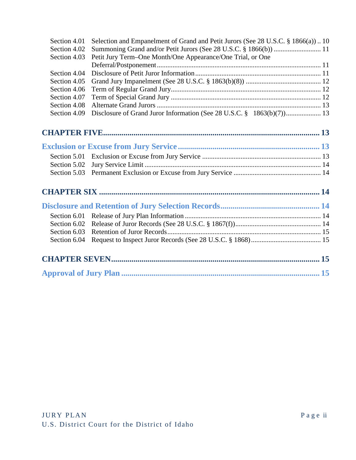| Section 4.01 | Selection and Empanelment of Grand and Petit Jurors (See 28 U.S.C. § 1866(a))10 |  |  |  |  |
|--------------|---------------------------------------------------------------------------------|--|--|--|--|
| Section 4.02 | Summoning Grand and/or Petit Jurors (See 28 U.S.C. § 1866(b))  11               |  |  |  |  |
| Section 4.03 | Petit Jury Term-One Month/One Appearance/One Trial, or One                      |  |  |  |  |
|              |                                                                                 |  |  |  |  |
| Section 4.04 |                                                                                 |  |  |  |  |
| Section 4.05 |                                                                                 |  |  |  |  |
| Section 4.06 |                                                                                 |  |  |  |  |
| Section 4.07 |                                                                                 |  |  |  |  |
| Section 4.08 |                                                                                 |  |  |  |  |
| Section 4.09 |                                                                                 |  |  |  |  |
|              |                                                                                 |  |  |  |  |
|              |                                                                                 |  |  |  |  |
|              |                                                                                 |  |  |  |  |
| Section 5.02 |                                                                                 |  |  |  |  |
| Section 5.03 |                                                                                 |  |  |  |  |
|              |                                                                                 |  |  |  |  |
|              |                                                                                 |  |  |  |  |
|              |                                                                                 |  |  |  |  |
| Section 6.02 |                                                                                 |  |  |  |  |
| Section 6.03 |                                                                                 |  |  |  |  |
| Section 6.04 |                                                                                 |  |  |  |  |
|              |                                                                                 |  |  |  |  |
|              |                                                                                 |  |  |  |  |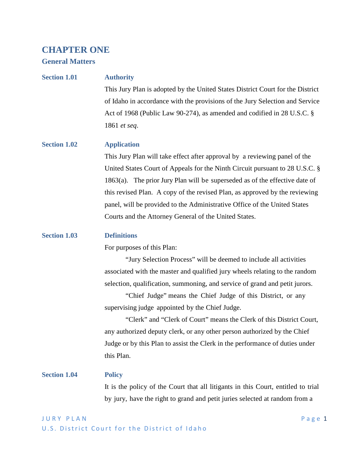### <span id="page-4-0"></span>**CHAPTER ONE**

#### <span id="page-4-1"></span>**General Matters**

#### <span id="page-4-2"></span>**Section 1.01 Authority**

This Jury Plan is adopted by the United States District Court for the District of Idaho in accordance with the provisions of the Jury Selection and Service Act of 1968 (Public Law 90-274), as amended and codified in 28 U.S.C. § 1861 *et seq*.

#### <span id="page-4-3"></span>**Section 1.02 Application**

This Jury Plan will take effect after approval by a reviewing panel of the United States Court of Appeals for the Ninth Circuit pursuant to 28 U.S.C. § 1863(a). The prior Jury Plan will be superseded as of the effective date of this revised Plan. A copy of the revised Plan, as approved by the reviewing panel, will be provided to the Administrative Office of the United States Courts and the Attorney General of the United States.

#### <span id="page-4-4"></span>**Section 1.03 Definitions**

For purposes of this Plan:

"Jury Selection Process" will be deemed to include all activities associated with the master and qualified jury wheels relating to the random selection, qualification, summoning, and service of grand and petit jurors.

"Chief Judge" means the Chief Judge of this District, or any supervising judge appointed by the Chief Judge.

"Clerk" and "Clerk of Court" means the Clerk of this District Court, any authorized deputy clerk, or any other person authorized by the Chief Judge or by this Plan to assist the Clerk in the performance of duties under this Plan.

#### <span id="page-4-5"></span>**Section 1.04 Policy**

It is the policy of the Court that all litigants in this Court, entitled to trial by jury, have the right to grand and petit juries selected at random from a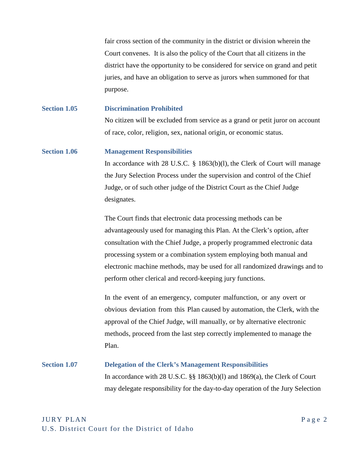fair cross section of the community in the district or division wherein the Court convenes. It is also the policy of the Court that all citizens in the district have the opportunity to be considered for service on grand and petit juries, and have an obligation to serve as jurors when summoned for that purpose.

#### <span id="page-5-0"></span>**Section 1.05 Discrimination Prohibited**

No citizen will be excluded from service as a grand or petit juror on account of race, color, religion, sex, national origin, or economic status.

#### <span id="page-5-1"></span>**Section 1.06 Management Responsibilities**

In accordance with 28 U.S.C. § 1863(b)(l), the Clerk of Court will manage the Jury Selection Process under the supervision and control of the Chief Judge, or of such other judge of the District Court as the Chief Judge designates.

The Court finds that electronic data processing methods can be advantageously used for managing this Plan. At the Clerk's option, after consultation with the Chief Judge, a properly programmed electronic data processing system or a combination system employing both manual and electronic machine methods, may be used for all randomized drawings and to perform other clerical and record-keeping jury functions.

In the event of an emergency, computer malfunction, or any overt or obvious deviation from this Plan caused by automation, the Clerk, with the approval of the Chief Judge, will manually, or by alternative electronic methods, proceed from the last step correctly implemented to manage the Plan.

## <span id="page-5-2"></span>**Section 1.07 Delegation of the Clerk's Management Responsibilities** In accordance with 28 U.S.C. §§ 1863(b)(l) and 1869(a), the Clerk of Court may delegate responsibility for the day-to-day operation of the Jury Selection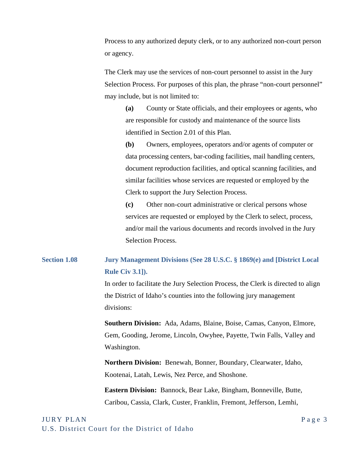Process to any authorized deputy clerk, or to any authorized non-court person or agency.

The Clerk may use the services of non-court personnel to assist in the Jury Selection Process. For purposes of this plan, the phrase "non-court personnel" may include, but is not limited to:

**(a)** County or State officials, and their employees or agents, who are responsible for custody and maintenance of the source lists identified in Section 2.01 of this Plan.

**(b)** Owners, employees, operators and/or agents of computer or data processing centers, bar-coding facilities, mail handling centers, document reproduction facilities, and optical scanning facilities, and similar facilities whose services are requested or employed by the Clerk to support the Jury Selection Process.

**(c)** Other non-court administrative or clerical persons whose services are requested or employed by the Clerk to select, process, and/or mail the various documents and records involved in the Jury Selection Process.

## <span id="page-6-0"></span>**Section 1.08 Jury Management Divisions (See 28 U.S.C. § 1869(e) and [District Local Rule Civ 3.1]).**

In order to facilitate the Jury Selection Process, the Clerk is directed to align the District of Idaho's counties into the following jury management divisions:

**Southern Division:** Ada, Adams, Blaine, Boise, Camas, Canyon, Elmore, Gem, Gooding, Jerome, Lincoln, Owyhee, Payette, Twin Falls, Valley and Washington.

**Northern Division:** Benewah, Bonner, Boundary, Clearwater, Idaho, Kootenai, Latah, Lewis, Nez Perce, and Shoshone.

**Eastern Division:** Bannock, Bear Lake, Bingham, Bonneville, Butte, Caribou, Cassia, Clark, Custer, Franklin, Fremont, Jefferson, Lemhi,

#### JURY PLAN Page 3 U.S. District Court for the District of Idaho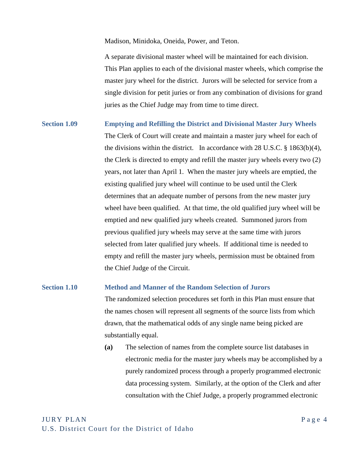Madison, Minidoka, Oneida, Power, and Teton.

A separate divisional master wheel will be maintained for each division. This Plan applies to each of the divisional master wheels, which comprise the master jury wheel for the district. Jurors will be selected for service from a single division for petit juries or from any combination of divisions for grand juries as the Chief Judge may from time to time direct.

<span id="page-7-0"></span>**Section 1.09 Emptying and Refilling the District and Divisional Master Jury Wheels** The Clerk of Court will create and maintain a master jury wheel for each of the divisions within the district. In accordance with 28 U.S.C. § 1863(b)(4), the Clerk is directed to empty and refill the master jury wheels every two (2) years, not later than April 1. When the master jury wheels are emptied, the existing qualified jury wheel will continue to be used until the Clerk determines that an adequate number of persons from the new master jury wheel have been qualified. At that time, the old qualified jury wheel will be emptied and new qualified jury wheels created. Summoned jurors from previous qualified jury wheels may serve at the same time with jurors selected from later qualified jury wheels. If additional time is needed to empty and refill the master jury wheels, permission must be obtained from the Chief Judge of the Circuit.

#### <span id="page-7-1"></span>**Section 1.10 Method and Manner of the Random Selection of Jurors**

The randomized selection procedures set forth in this Plan must ensure that the names chosen will represent all segments of the source lists from which drawn, that the mathematical odds of any single name being picked are substantially equal.

**(a)** The selection of names from the complete source list databases in electronic media for the master jury wheels may be accomplished by a purely randomized process through a properly programmed electronic data processing system. Similarly, at the option of the Clerk and after consultation with the Chief Judge, a properly programmed electronic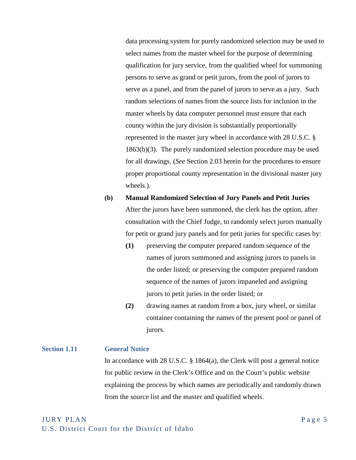data processing system for purely randomized selection may be used to select names from the master wheel for the purpose of determining qualification for jury service, from the qualified wheel for summoning persons to serve as grand or petit jurors, from the pool of jurors to serve as a panel, and from the panel of jurors to serve as a jury. Such random selections of names from the source lists for inclusion in the master wheels by data computer personnel must ensure that each county within the jury division is substantially proportionally represented in the master jury wheel in accordance with 28 U.S.C. § 1863(b)(3). The purely randomized selection procedure may be used for all drawings. (*See* Section 2.03 herein for the procedures to ensure proper proportional county representation in the divisional master jury wheels.).

- **(b) Manual Randomized Selection of Jury Panels and Petit Juries** After the jurors have been summoned, the clerk has the option, after consultation with the Chief Judge, to randomly select jurors manually for petit or grand jury panels and for petit juries for specific cases by:
	- **(1)** preserving the computer prepared random sequence of the names of jurors summoned and assigning jurors to panels in the order listed; or preserving the computer prepared random sequence of the names of jurors impaneled and assigning jurors to petit juries in the order listed; or
	- **(2)** drawing names at random from a box, jury wheel, or similar container containing the names of the present pool or panel of jurors.

#### <span id="page-8-0"></span>**Section 1.11 General Notice**

In accordance with 28 U.S.C. § 1864(a), the Clerk will post a general notice for public review in the Clerk's Office and on the Court's public website explaining the process by which names are periodically and randomly drawn from the source list and the master and qualified wheels.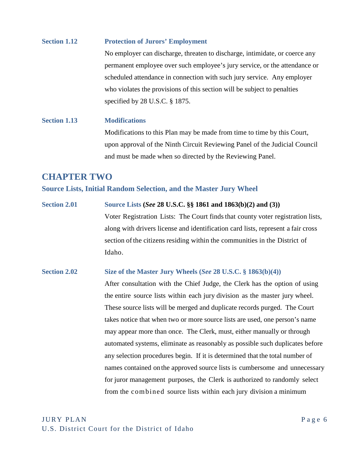#### <span id="page-9-0"></span>**Section 1.12 Protection of Jurors' Employment**

No employer can discharge, threaten to discharge, intimidate, or coerce any permanent employee over such employee's jury service, or the attendance or scheduled attendance in connection with such jury service. Any employer who violates the provisions of this section will be subject to penalties specified by 28 U.S.C. § 1875.

## <span id="page-9-1"></span>**Section 1.13 Modifications** Modifications to this Plan may be made from time to time by this Court, upon approval of the Ninth Circuit Reviewing Panel of the Judicial Council and must be made when so directed by the Reviewing Panel.

## <span id="page-9-2"></span>**CHAPTER TWO**

#### <span id="page-9-4"></span><span id="page-9-3"></span>**Source Lists, Initial Random Selection, and the Master Jury Wheel**

**Section 2.01 Source Lists (***See* **28 U.S.C. §§ 1861 and 1863(b)(2) and (3))** Voter Registration Lists: The Court finds that county voter registration lists, along with drivers license and identification card lists, represent a fair cross section of the citizens residing within the communities in the District of Idaho.

#### <span id="page-9-5"></span>**Section 2.02 Size of the Master Jury Wheels (***See* **28 U.S.C. § 1863(b)(4))**

After consultation with the Chief Judge, the Clerk has the option of using the entire source lists within each jury division as the master jury wheel. These source lists will be merged and duplicate records purged. The Court takes notice that when two or more source lists are used, one person's name may appear more than once. The Clerk, must, either manually or through automated systems, eliminate as reasonably as possible such duplicates before any selection procedures begin. If it is determined that the total number of names contained on the approved source lists is cumbersome and unnecessary for juror management purposes, the Clerk is authorized to randomly select from the combined source lists within each jury division a minimum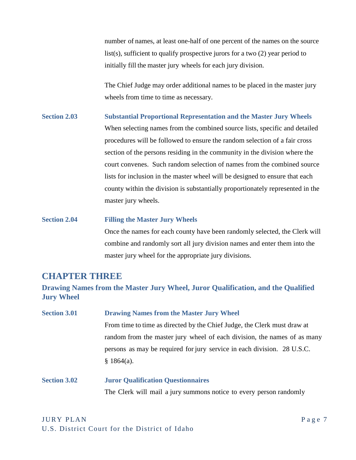number of names, at least one-half of one percent of the names on the source list(s), sufficient to qualify prospective jurors for a two (2) year period to initially fill the master jury wheels for each jury division.

The Chief Judge may order additional names to be placed in the master jury wheels from time to time as necessary.

- <span id="page-10-0"></span>**Section 2.03 Substantial Proportional Representation and the Master Jury Wheels** When selecting names from the combined source lists, specific and detailed procedures will be followed to ensure the random selection of a fair cross section of the persons residing in the community in the division where the court convenes. Such random selection of names from the combined source lists for inclusion in the master wheel will be designed to ensure that each county within the division is substantially proportionately represented in the master jury wheels.
- <span id="page-10-1"></span>**Section 2.04 Filling the Master Jury Wheels** Once the names for each county have been randomly selected, the Clerk will combine and randomly sort all jury division names and enter them into the master jury wheel for the appropriate jury divisions.

### <span id="page-10-2"></span>**CHAPTER THREE**

<span id="page-10-3"></span>**Drawing Names from the Master Jury Wheel, Juror Qualification, and the Qualified Jury Wheel**

- <span id="page-10-4"></span>**Section 3.01 Drawing Names from the Master Jury Wheel** From time to time as directed by the Chief Judge, the Clerk must draw at random from the master jury wheel of each division, the names of as many persons as may be required for jury service in each division. 28 U.S.C.  $§ 1864(a).$
- <span id="page-10-5"></span>**Section 3.02 Juror Qualification Questionnaires** The Clerk will mail a jury summons notice to every person randomly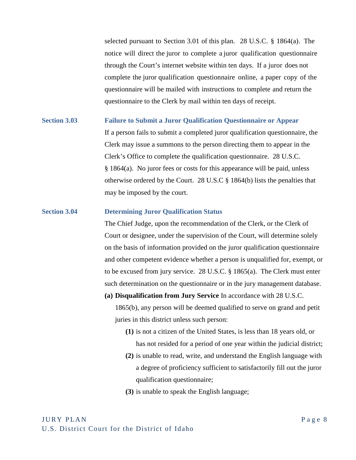selected pursuant to Section 3.01 of this plan. 28 U.S.C. § 1864(a). The notice will direct the juror to complete a juror qualification questionnaire through the Court's internet website within ten days. If a juror does not complete the juror qualification questionnaire online, a paper copy of the questionnaire will be mailed with instructions to complete and return the questionnaire to the Clerk by mail within ten days of receipt.

## <span id="page-11-0"></span>**Section 3.03 Failure to Submit a Juror Qualification Questionnaire or Appear** If a person fails to submit a completed juror qualification questionnaire, the Clerk may issue a summons to the person directing them to appear in the Clerk's Office to complete the qualification questionnaire. 28 U.S.C. § 1864(a). No juror fees or costs for this appearance will be paid, unless otherwise ordered by the Court. 28 U.S.C § 1864(b) lists the penalties that may be imposed by the court.

#### <span id="page-11-1"></span>**Section 3.04 Determining Juror Qualification Status**

The Chief Judge, upon the recommendation of the Clerk, or the Clerk of Court or designee, under the supervision of the Court, will determine solely on the basis of information provided on the juror qualification questionnaire and other competent evidence whether a person is unqualified for, exempt, or to be excused from jury service. 28 U.S.C. § 1865(a). The Clerk must enter such determination on the questionnaire or in the jury management database.

- **(a) Disqualification from Jury Service** In accordance with 28 U.S.C. 1865(b), any person will be deemed qualified to serve on grand and petit juries in this district unless such person:
	- **(1)** is not a citizen of the United States, is less than 18 years old, or has not resided for a period of one year within the judicial district;
	- **(2)** is unable to read, write, and understand the English language with a degree of proficiency sufficient to satisfactorily fill out the juror qualification questionnaire;
	- **(3)** is unable to speak the English language;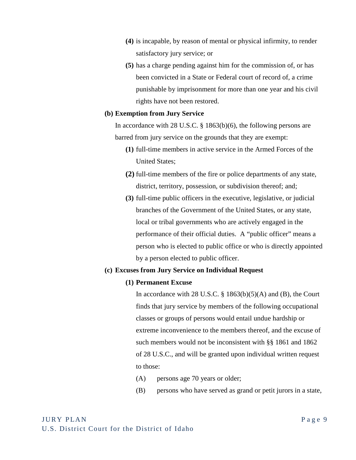- **(4)** is incapable, by reason of mental or physical infirmity, to render satisfactory jury service; or
- **(5)** has a charge pending against him for the commission of, or has been convicted in a State or Federal court of record of, a crime punishable by imprisonment for more than one year and his civil rights have not been restored.

#### **(b) Exemption from Jury Service**

In accordance with 28 U.S.C. § 1863(b)(6), the following persons are barred from jury service on the grounds that they are exempt:

- **(1)** full-time members in active service in the Armed Forces of the United States;
- **(2)** full-time members of the fire or police departments of any state, district, territory, possession, or subdivision thereof; and;
- **(3)** full-time public officers in the executive, legislative, or judicial branches of the Government of the United States, or any state, local or tribal governments who are actively engaged in the performance of their official duties. A "public officer" means a person who is elected to public office or who is directly appointed by a person elected to public officer.

#### **(c) Excuses from Jury Service on Individual Request**

#### **(1) Permanent Excuse**

In accordance with 28 U.S.C.  $\S$  1863(b)(5)(A) and (B), the Court finds that jury service by members of the following occupational classes or groups of persons would entail undue hardship or extreme inconvenience to the members thereof, and the excuse of such members would not be inconsistent with §§ 1861 and 1862 of 28 U.S.C., and will be granted upon individual written request to those:

- (A) persons age 70 years or older;
- (B) persons who have served as grand or petit jurors in a state,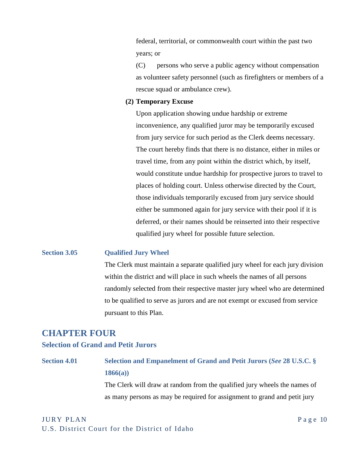federal, territorial, or commonwealth court within the past two years; or

(C) persons who serve a public agency without compensation as volunteer safety personnel (such as firefighters or members of a rescue squad or ambulance crew).

#### **(2) Temporary Excuse**

Upon application showing undue hardship or extreme inconvenience, any qualified juror may be temporarily excused from jury service for such period as the Clerk deems necessary. The court hereby finds that there is no distance, either in miles or travel time, from any point within the district which, by itself, would constitute undue hardship for prospective jurors to travel to places of holding court. Unless otherwise directed by the Court, those individuals temporarily excused from jury service should either be summoned again for jury service with their pool if it is deferred, or their names should be reinserted into their respective qualified jury wheel for possible future selection.

#### <span id="page-13-0"></span>**Section 3.05 Qualified Jury Wheel**

The Clerk must maintain a separate qualified jury wheel for each jury division within the district and will place in such wheels the names of all persons randomly selected from their respective master jury wheel who are determined to be qualified to serve as jurors and are not exempt or excused from service pursuant to this Plan.

## <span id="page-13-1"></span>**CHAPTER FOUR**

#### <span id="page-13-3"></span><span id="page-13-2"></span>**Selection of Grand and Petit Jurors**

**Section 4.01 Selection and Empanelment of Grand and Petit Jurors (***See* **28 U.S.C. § 1866(a))**

The Clerk will draw at random from the qualified jury wheels the names of as many persons as may be required for assignment to grand and petit jury

#### JURY PLAN Page 10 U.S. District Court for the District of Idaho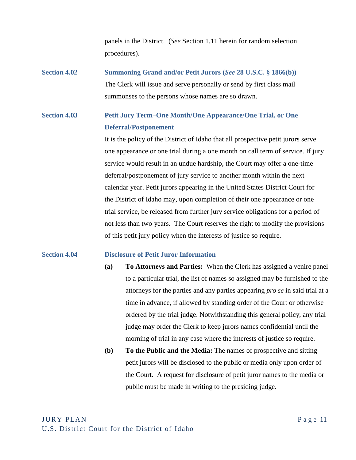panels in the District. (*See* Section 1.11 herein for random selection procedures).

<span id="page-14-0"></span>**Section 4.02 Summoning Grand and/or Petit Jurors (***See* **28 U.S.C. § 1866(b))** The Clerk will issue and serve personally or send by first class mail summonses to the persons whose names are so drawn.

### <span id="page-14-1"></span>**Section 4.03 Petit Jury Term–One Month/One Appearance/One Trial, or One Deferral/Postponement**

It is the policy of the District of Idaho that all prospective petit jurors serve one appearance or one trial during a one month on call term of service. If jury service would result in an undue hardship, the Court may offer a one-time deferral/postponement of jury service to another month within the next calendar year. Petit jurors appearing in the United States District Court for the District of Idaho may, upon completion of their one appearance or one trial service, be released from further jury service obligations for a period of not less than two years. The Court reserves the right to modify the provisions of this petit jury policy when the interests of justice so require.

#### <span id="page-14-2"></span>**Section 4.04 Disclosure of Petit Juror Information**

- **(a) To Attorneys and Parties:** When the Clerk has assigned a venire panel to a particular trial, the list of names so assigned may be furnished to the attorneys for the parties and any parties appearing *pro se* in said trial at a time in advance, if allowed by standing order of the Court or otherwise ordered by the trial judge. Notwithstanding this general policy, any trial judge may order the Clerk to keep jurors names confidential until the morning of trial in any case where the interests of justice so require.
- **(b) To the Public and the Media:** The names of prospective and sitting petit jurors will be disclosed to the public or media only upon order of the Court. A request for disclosure of petit juror names to the media or public must be made in writing to the presiding judge.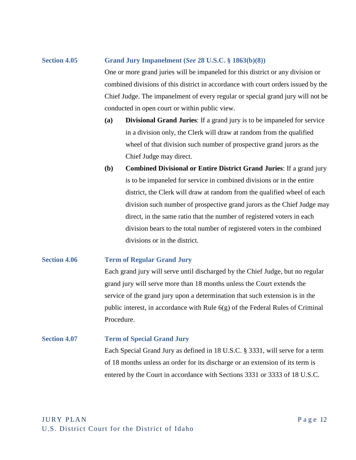#### <span id="page-15-0"></span>**Section 4.05 Grand Jury Impanelment (***See* **28 U.S.C. § 1863(b)(8))**

One or more grand juries will be impaneled for this district or any division or combined divisions of this district in accordance with court orders issued by the Chief Judge. The impanelment of every regular or special grand jury will not be conducted in open court or within public view.

- **(a) Divisional Grand Juries**: If a grand jury is to be impaneled for service in a division only, the Clerk will draw at random from the qualified wheel of that division such number of prospective grand jurors as the Chief Judge may direct.
- **(b) Combined Divisional or Entire District Grand Juries**: If a grand jury is to be impaneled for service in combined divisions or in the entire district, the Clerk will draw at random from the qualified wheel of each division such number of prospective grand jurors as the Chief Judge may direct, in the same ratio that the number of registered voters in each division bears to the total number of registered voters in the combined divisions or in the district.

#### <span id="page-15-1"></span>**Section 4.06 Term of Regular Grand Jury**

Each grand jury will serve until discharged by the Chief Judge, but no regular grand jury will serve more than 18 months unless the Court extends the service of the grand jury upon a determination that such extension is in the public interest, in accordance with Rule 6(g) of the Federal Rules of Criminal Procedure.

#### <span id="page-15-2"></span>**Section 4.07 Term of Special Grand Jury**

Each Special Grand Jury as defined in 18 U.S.C. § 3331, will serve for a term of 18 months unless an order for its discharge or an extension of its term is entered by the Court in accordance with Sections 3331 or 3333 of 18 U.S.C.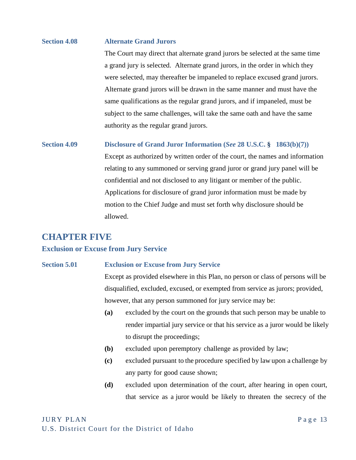#### <span id="page-16-0"></span>**Section 4.08 Alternate Grand Jurors**

The Court may direct that alternate grand jurors be selected at the same time a grand jury is selected. Alternate grand jurors, in the order in which they were selected, may thereafter be impaneled to replace excused grand jurors. Alternate grand jurors will be drawn in the same manner and must have the same qualifications as the regular grand jurors, and if impaneled, must be subject to the same challenges, will take the same oath and have the same authority as the regular grand jurors.

#### <span id="page-16-1"></span>**Section 4.09 Disclosure of Grand Juror Information (***See* **28 U.S.C. § 1863(b)(7))**

Except as authorized by written order of the court, the names and information relating to any summoned or serving grand juror or grand jury panel will be confidential and not disclosed to any litigant or member of the public. Applications for disclosure of grand juror information must be made by motion to the Chief Judge and must set forth why disclosure should be allowed.

### <span id="page-16-2"></span>**CHAPTER FIVE**

#### <span id="page-16-4"></span><span id="page-16-3"></span>**Exclusion or Excuse from Jury Service**

#### **Section 5.01 Exclusion or Excuse from Jury Service**

Except as provided elsewhere in this Plan, no person or class of persons will be disqualified, excluded, excused, or exempted from service as jurors; provided, however, that any person summoned for jury service may be:

- **(a)** excluded by the court on the grounds that such person may be unable to render impartial jury service or that his service as a juror would be likely to disrupt the proceedings;
- **(b)** excluded upon peremptory challenge as provided by law;
- **(c)** excluded pursuant to the procedure specified by law upon a challenge by any party for good cause shown;
- **(d)** excluded upon determination of the court, after hearing in open court, that service as a juror would be likely to threaten the secrecy of the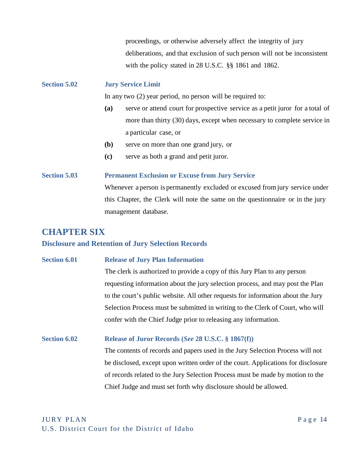<span id="page-17-0"></span>

|                     |              | proceedings, or otherwise adversely affect the integrity of jury              |
|---------------------|--------------|-------------------------------------------------------------------------------|
|                     |              | deliberations, and that exclusion of such person will not be inconsistent     |
|                     |              | with the policy stated in 28 U.S.C. §§ 1861 and 1862.                         |
| <b>Section 5.02</b> |              | <b>Jury Service Limit</b>                                                     |
|                     |              | In any two $(2)$ year period, no person will be required to:                  |
|                     | <b>(a)</b>   | serve or attend court for prospective service as a petit juror for a total of |
|                     |              | more than thirty (30) days, except when necessary to complete service in      |
|                     |              | a particular case, or                                                         |
|                     | ( <b>b</b> ) | serve on more than one grand jury, or                                         |
|                     | (c)          | serve as both a grand and petit juror.                                        |
| <b>Section 5.03</b> |              | <b>Permanent Exclusion or Excuse from Jury Service</b>                        |
|                     |              | Whenever a person is permanently excluded or excused from jury service under  |

this Chapter, the Clerk will note the same on the questionnaire or in the jury management database.

## <span id="page-17-2"></span><span id="page-17-1"></span>**CHAPTER SIX**

#### <span id="page-17-3"></span>**Disclosure and Retention of Jury Selection Records**

#### <span id="page-17-4"></span>**Section 6.01 Release of Jury Plan Information**

The clerk is authorized to provide a copy of this Jury Plan to any person requesting information about the jury selection process, and may post the Plan to the court's public website. All other requests for information about the Jury Selection Process must be submitted in writing to the Clerk of Court, who will confer with the Chief Judge prior to releasing any information.

#### <span id="page-17-5"></span>**Section 6.02 Release of Juror Records (***See* **28 U.S.C. § 1867(f))**

The contents of records and papers used in the Jury Selection Process will not be disclosed, except upon written order of the court. Applications for disclosure of records related to the Jury Selection Process must be made by motion to the Chief Judge and must set forth why disclosure should be allowed.